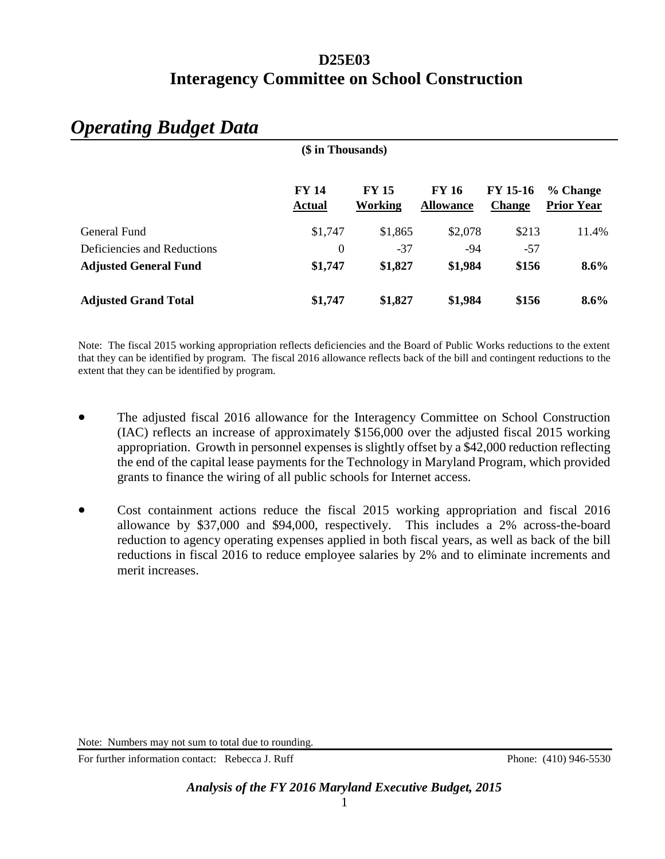| (\$ in Thousands)            |                               |                                |                                  |                                  |                               |  |
|------------------------------|-------------------------------|--------------------------------|----------------------------------|----------------------------------|-------------------------------|--|
|                              | <b>FY 14</b><br><b>Actual</b> | <b>FY 15</b><br><b>Working</b> | <b>FY 16</b><br><b>Allowance</b> | <b>FY 15-16</b><br><b>Change</b> | % Change<br><b>Prior Year</b> |  |
| General Fund                 | \$1,747                       | \$1,865                        | \$2,078                          | \$213                            | 11.4%                         |  |
| Deficiencies and Reductions  | $\boldsymbol{0}$              | $-37$                          | -94                              | $-57$                            |                               |  |
| <b>Adjusted General Fund</b> | \$1,747                       | \$1,827                        | \$1,984                          | \$156                            | $8.6\%$                       |  |
| <b>Adjusted Grand Total</b>  | \$1,747                       | \$1,827                        | \$1,984                          | \$156                            | $8.6\%$                       |  |

# *Operating Budget Data*

Note: The fiscal 2015 working appropriation reflects deficiencies and the Board of Public Works reductions to the extent that they can be identified by program. The fiscal 2016 allowance reflects back of the bill and contingent reductions to the extent that they can be identified by program.

- The adjusted fiscal 2016 allowance for the Interagency Committee on School Construction (IAC) reflects an increase of approximately \$156,000 over the adjusted fiscal 2015 working appropriation. Growth in personnel expenses is slightly offset by a \$42,000 reduction reflecting the end of the capital lease payments for the Technology in Maryland Program, which provided grants to finance the wiring of all public schools for Internet access.
- Cost containment actions reduce the fiscal 2015 working appropriation and fiscal 2016 allowance by \$37,000 and \$94,000, respectively. This includes a 2% across-the-board reduction to agency operating expenses applied in both fiscal years, as well as back of the bill reductions in fiscal 2016 to reduce employee salaries by 2% and to eliminate increments and merit increases.

For further information contact: Rebecca J. Ruff Phone: (410) 946-5530

Note: Numbers may not sum to total due to rounding.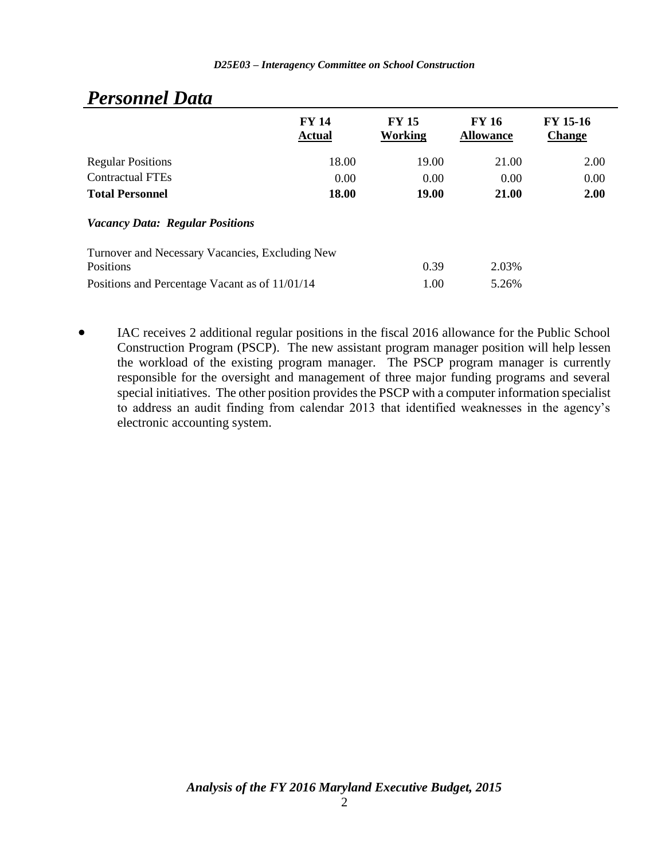| $\sim$ , $\sim$ , $\sim$ , $\sim$ , $\sim$ , $\sim$ , $\sim$ |                               |                         |                                  |                           |
|--------------------------------------------------------------|-------------------------------|-------------------------|----------------------------------|---------------------------|
|                                                              | <b>FY 14</b><br><b>Actual</b> | <b>FY 15</b><br>Working | <b>FY 16</b><br><b>Allowance</b> | FY 15-16<br><b>Change</b> |
| <b>Regular Positions</b>                                     | 18.00                         | 19.00                   | 21.00                            | 2.00                      |
| <b>Contractual FTEs</b>                                      | 0.00                          | 0.00                    | 0.00                             | 0.00                      |
| <b>Total Personnel</b>                                       | 18.00                         | <b>19.00</b>            | 21.00                            | 2.00                      |
| <b>Vacancy Data: Regular Positions</b>                       |                               |                         |                                  |                           |
| Turnover and Necessary Vacancies, Excluding New<br>Positions |                               | 0.39                    | 2.03%                            |                           |
| Positions and Percentage Vacant as of 11/01/14               |                               | 1.00                    | 5.26%                            |                           |

## *Personnel Data*

 IAC receives 2 additional regular positions in the fiscal 2016 allowance for the Public School Construction Program (PSCP). The new assistant program manager position will help lessen the workload of the existing program manager. The PSCP program manager is currently responsible for the oversight and management of three major funding programs and several special initiatives. The other position provides the PSCP with a computer information specialist to address an audit finding from calendar 2013 that identified weaknesses in the agency's electronic accounting system.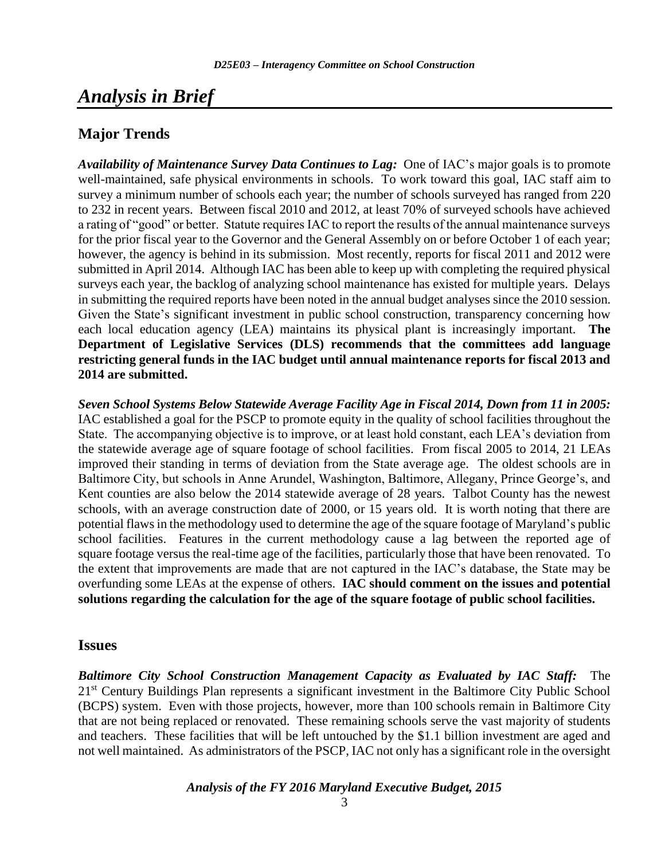# *Analysis in Brief*

## **Major Trends**

*Availability of Maintenance Survey Data Continues to Lag:* One of IAC's major goals is to promote well-maintained, safe physical environments in schools. To work toward this goal, IAC staff aim to survey a minimum number of schools each year; the number of schools surveyed has ranged from 220 to 232 in recent years. Between fiscal 2010 and 2012, at least 70% of surveyed schools have achieved a rating of "good" or better. Statute requires IAC to report the results of the annual maintenance surveys for the prior fiscal year to the Governor and the General Assembly on or before October 1 of each year; however, the agency is behind in its submission. Most recently, reports for fiscal 2011 and 2012 were submitted in April 2014. Although IAC has been able to keep up with completing the required physical surveys each year, the backlog of analyzing school maintenance has existed for multiple years. Delays in submitting the required reports have been noted in the annual budget analyses since the 2010 session. Given the State's significant investment in public school construction, transparency concerning how each local education agency (LEA) maintains its physical plant is increasingly important. **The Department of Legislative Services (DLS) recommends that the committees add language restricting general funds in the IAC budget until annual maintenance reports for fiscal 2013 and 2014 are submitted.**

*Seven School Systems Below Statewide Average Facility Age in Fiscal 2014, Down from 11 in 2005:* IAC established a goal for the PSCP to promote equity in the quality of school facilities throughout the State. The accompanying objective is to improve, or at least hold constant, each LEA's deviation from the statewide average age of square footage of school facilities. From fiscal 2005 to 2014, 21 LEAs improved their standing in terms of deviation from the State average age. The oldest schools are in Baltimore City, but schools in Anne Arundel, Washington, Baltimore, Allegany, Prince George's, and Kent counties are also below the 2014 statewide average of 28 years. Talbot County has the newest schools, with an average construction date of 2000, or 15 years old. It is worth noting that there are potential flaws in the methodology used to determine the age of the square footage of Maryland's public school facilities. Features in the current methodology cause a lag between the reported age of square footage versus the real-time age of the facilities, particularly those that have been renovated. To the extent that improvements are made that are not captured in the IAC's database, the State may be overfunding some LEAs at the expense of others. **IAC should comment on the issues and potential solutions regarding the calculation for the age of the square footage of public school facilities.** 

### **Issues**

*Baltimore City School Construction Management Capacity as Evaluated by IAC Staff:* The 21st Century Buildings Plan represents a significant investment in the Baltimore City Public School (BCPS) system. Even with those projects, however, more than 100 schools remain in Baltimore City that are not being replaced or renovated. These remaining schools serve the vast majority of students and teachers. These facilities that will be left untouched by the \$1.1 billion investment are aged and not well maintained. As administrators of the PSCP, IAC not only has a significant role in the oversight

*Analysis of the FY 2016 Maryland Executive Budget, 2015*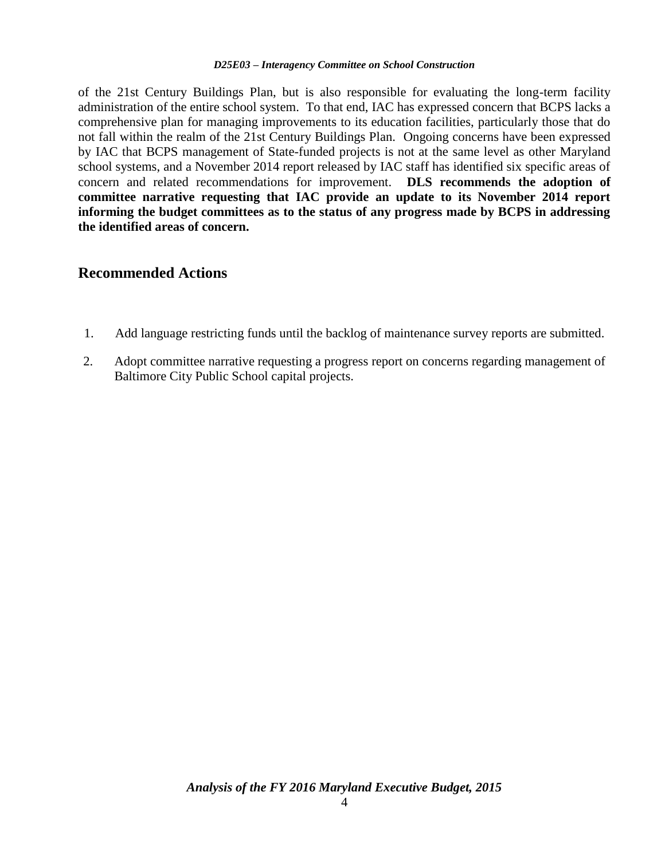of the 21st Century Buildings Plan, but is also responsible for evaluating the long-term facility administration of the entire school system. To that end, IAC has expressed concern that BCPS lacks a comprehensive plan for managing improvements to its education facilities, particularly those that do not fall within the realm of the 21st Century Buildings Plan. Ongoing concerns have been expressed by IAC that BCPS management of State-funded projects is not at the same level as other Maryland school systems, and a November 2014 report released by IAC staff has identified six specific areas of concern and related recommendations for improvement. **DLS recommends the adoption of committee narrative requesting that IAC provide an update to its November 2014 report informing the budget committees as to the status of any progress made by BCPS in addressing the identified areas of concern.**

### **Recommended Actions**

- 1. Add language restricting funds until the backlog of maintenance survey reports are submitted.
- 2. Adopt committee narrative requesting a progress report on concerns regarding management of Baltimore City Public School capital projects.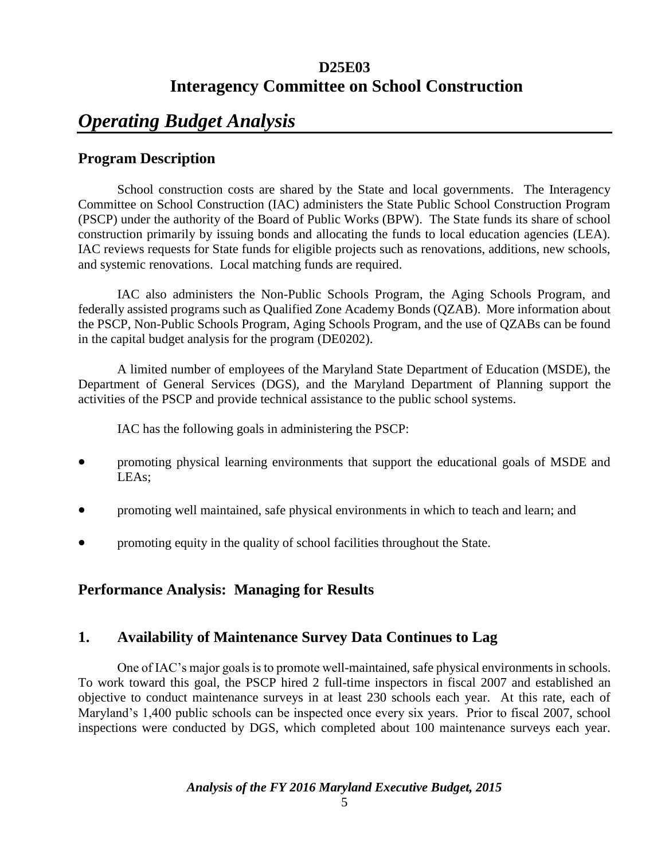# *Operating Budget Analysis*

## **Program Description**

School construction costs are shared by the State and local governments. The Interagency Committee on School Construction (IAC) administers the State Public School Construction Program (PSCP) under the authority of the Board of Public Works (BPW). The State funds its share of school construction primarily by issuing bonds and allocating the funds to local education agencies (LEA). IAC reviews requests for State funds for eligible projects such as renovations, additions, new schools, and systemic renovations. Local matching funds are required.

IAC also administers the Non-Public Schools Program, the Aging Schools Program, and federally assisted programs such as Qualified Zone Academy Bonds (QZAB). More information about the PSCP, Non-Public Schools Program, Aging Schools Program, and the use of QZABs can be found in the capital budget analysis for the program (DE0202).

A limited number of employees of the Maryland State Department of Education (MSDE), the Department of General Services (DGS), and the Maryland Department of Planning support the activities of the PSCP and provide technical assistance to the public school systems.

IAC has the following goals in administering the PSCP:

- promoting physical learning environments that support the educational goals of MSDE and LEAs;
- promoting well maintained, safe physical environments in which to teach and learn; and
- promoting equity in the quality of school facilities throughout the State.

## **Performance Analysis: Managing for Results**

## **1. Availability of Maintenance Survey Data Continues to Lag**

One of IAC's major goals is to promote well-maintained, safe physical environments in schools. To work toward this goal, the PSCP hired 2 full-time inspectors in fiscal 2007 and established an objective to conduct maintenance surveys in at least 230 schools each year. At this rate, each of Maryland's 1,400 public schools can be inspected once every six years. Prior to fiscal 2007, school inspections were conducted by DGS, which completed about 100 maintenance surveys each year.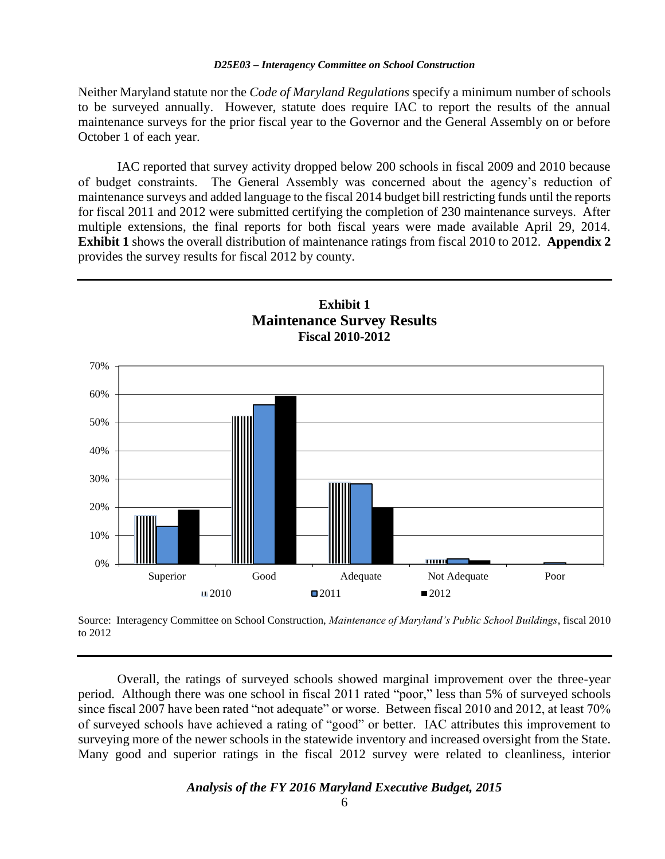Neither Maryland statute nor the *Code of Maryland Regulations* specify a minimum number of schools to be surveyed annually. However, statute does require IAC to report the results of the annual maintenance surveys for the prior fiscal year to the Governor and the General Assembly on or before October 1 of each year.

IAC reported that survey activity dropped below 200 schools in fiscal 2009 and 2010 because of budget constraints. The General Assembly was concerned about the agency's reduction of maintenance surveys and added language to the fiscal 2014 budget bill restricting funds until the reports for fiscal 2011 and 2012 were submitted certifying the completion of 230 maintenance surveys. After multiple extensions, the final reports for both fiscal years were made available April 29, 2014. **Exhibit 1** shows the overall distribution of maintenance ratings from fiscal 2010 to 2012. **Appendix 2** provides the survey results for fiscal 2012 by county.



Source: Interagency Committee on School Construction, *Maintenance of Maryland's Public School Buildings*, fiscal 2010 to 2012

Overall, the ratings of surveyed schools showed marginal improvement over the three-year period. Although there was one school in fiscal 2011 rated "poor," less than 5% of surveyed schools since fiscal 2007 have been rated "not adequate" or worse. Between fiscal 2010 and 2012, at least 70% of surveyed schools have achieved a rating of "good" or better. IAC attributes this improvement to surveying more of the newer schools in the statewide inventory and increased oversight from the State. Many good and superior ratings in the fiscal 2012 survey were related to cleanliness, interior

#### *Analysis of the FY 2016 Maryland Executive Budget, 2015*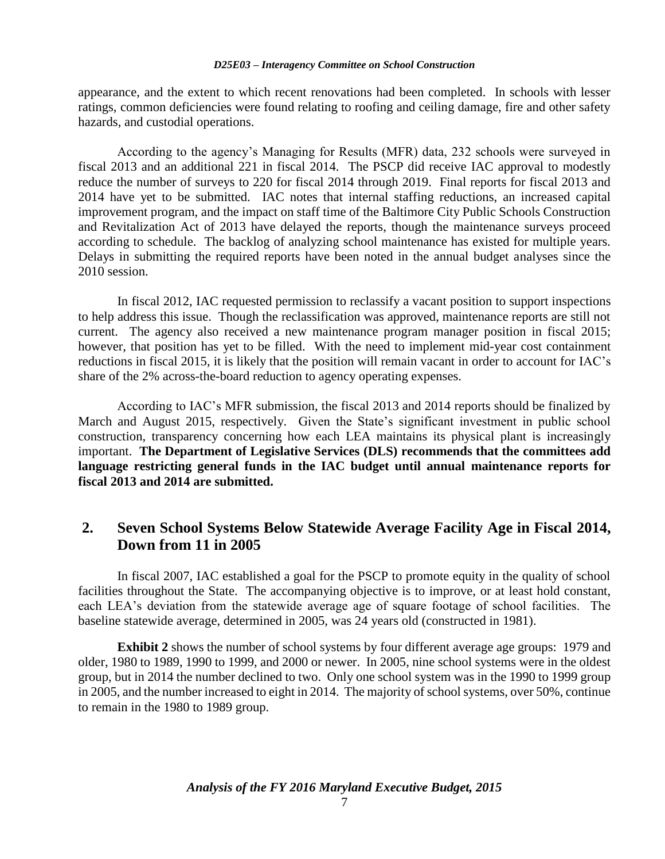appearance, and the extent to which recent renovations had been completed. In schools with lesser ratings, common deficiencies were found relating to roofing and ceiling damage, fire and other safety hazards, and custodial operations.

According to the agency's Managing for Results (MFR) data, 232 schools were surveyed in fiscal 2013 and an additional 221 in fiscal 2014. The PSCP did receive IAC approval to modestly reduce the number of surveys to 220 for fiscal 2014 through 2019. Final reports for fiscal 2013 and 2014 have yet to be submitted. IAC notes that internal staffing reductions, an increased capital improvement program, and the impact on staff time of the Baltimore City Public Schools Construction and Revitalization Act of 2013 have delayed the reports, though the maintenance surveys proceed according to schedule. The backlog of analyzing school maintenance has existed for multiple years. Delays in submitting the required reports have been noted in the annual budget analyses since the 2010 session.

In fiscal 2012, IAC requested permission to reclassify a vacant position to support inspections to help address this issue. Though the reclassification was approved, maintenance reports are still not current. The agency also received a new maintenance program manager position in fiscal 2015; however, that position has yet to be filled. With the need to implement mid-year cost containment reductions in fiscal 2015, it is likely that the position will remain vacant in order to account for IAC's share of the 2% across-the-board reduction to agency operating expenses.

According to IAC's MFR submission, the fiscal 2013 and 2014 reports should be finalized by March and August 2015, respectively. Given the State's significant investment in public school construction, transparency concerning how each LEA maintains its physical plant is increasingly important. **The Department of Legislative Services (DLS) recommends that the committees add language restricting general funds in the IAC budget until annual maintenance reports for fiscal 2013 and 2014 are submitted.**

## **2. Seven School Systems Below Statewide Average Facility Age in Fiscal 2014, Down from 11 in 2005**

In fiscal 2007, IAC established a goal for the PSCP to promote equity in the quality of school facilities throughout the State. The accompanying objective is to improve, or at least hold constant, each LEA's deviation from the statewide average age of square footage of school facilities. The baseline statewide average, determined in 2005, was 24 years old (constructed in 1981).

**Exhibit 2** shows the number of school systems by four different average age groups: 1979 and older, 1980 to 1989, 1990 to 1999, and 2000 or newer. In 2005, nine school systems were in the oldest group, but in 2014 the number declined to two. Only one school system was in the 1990 to 1999 group in 2005, and the number increased to eight in 2014. The majority of school systems, over 50%, continue to remain in the 1980 to 1989 group.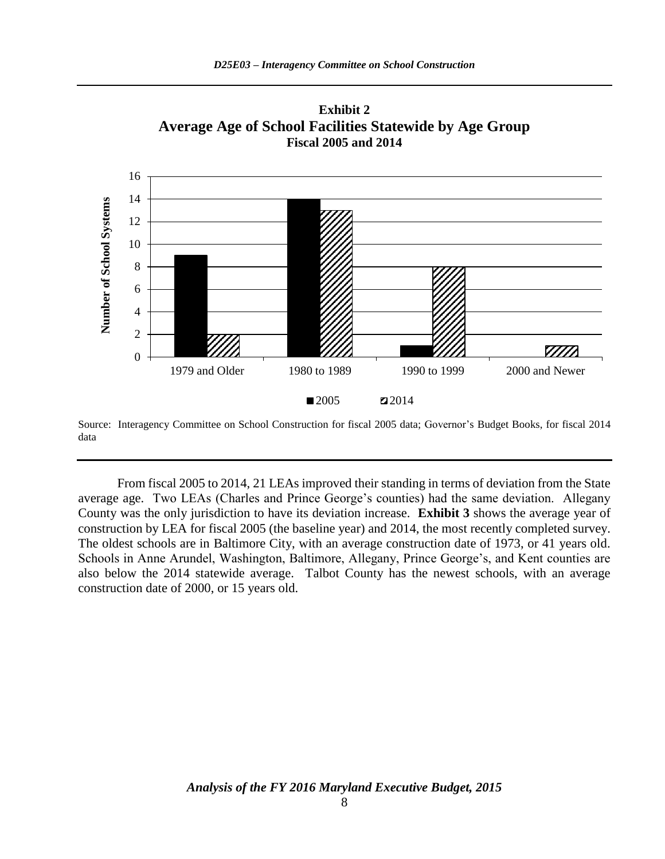

**Exhibit 2 Average Age of School Facilities Statewide by Age Group Fiscal 2005 and 2014**

Source: Interagency Committee on School Construction for fiscal 2005 data; Governor's Budget Books, for fiscal 2014 data

From fiscal 2005 to 2014, 21 LEAs improved their standing in terms of deviation from the State average age. Two LEAs (Charles and Prince George's counties) had the same deviation. Allegany County was the only jurisdiction to have its deviation increase. **Exhibit 3** shows the average year of construction by LEA for fiscal 2005 (the baseline year) and 2014, the most recently completed survey. The oldest schools are in Baltimore City, with an average construction date of 1973, or 41 years old. Schools in Anne Arundel, Washington, Baltimore, Allegany, Prince George's, and Kent counties are also below the 2014 statewide average. Talbot County has the newest schools, with an average construction date of 2000, or 15 years old.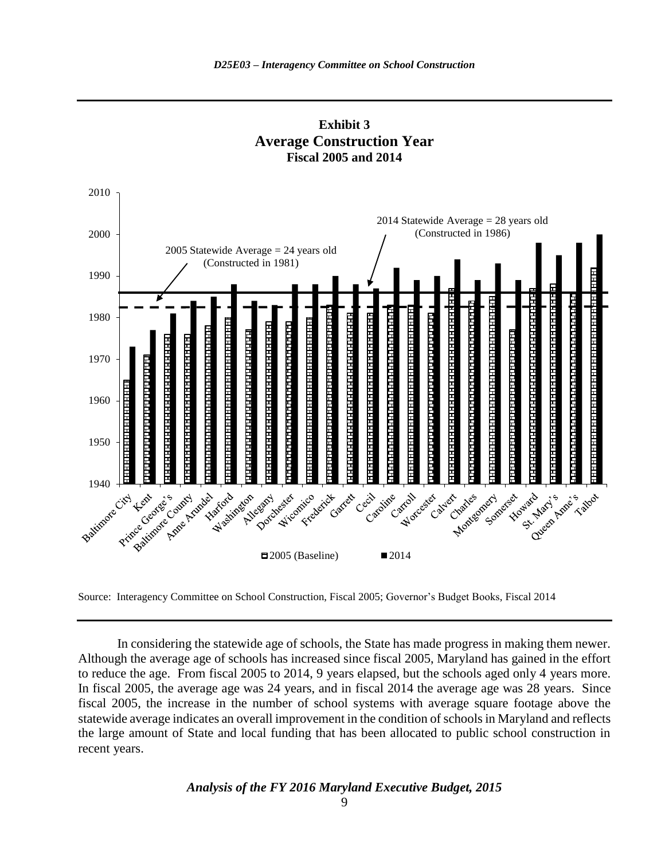



Source: Interagency Committee on School Construction, Fiscal 2005; Governor's Budget Books, Fiscal 2014

In considering the statewide age of schools, the State has made progress in making them newer. Although the average age of schools has increased since fiscal 2005, Maryland has gained in the effort to reduce the age. From fiscal 2005 to 2014, 9 years elapsed, but the schools aged only 4 years more. In fiscal 2005, the average age was 24 years, and in fiscal 2014 the average age was 28 years. Since fiscal 2005, the increase in the number of school systems with average square footage above the statewide average indicates an overall improvement in the condition of schools in Maryland and reflects the large amount of State and local funding that has been allocated to public school construction in recent years.

#### *Analysis of the FY 2016 Maryland Executive Budget, 2015*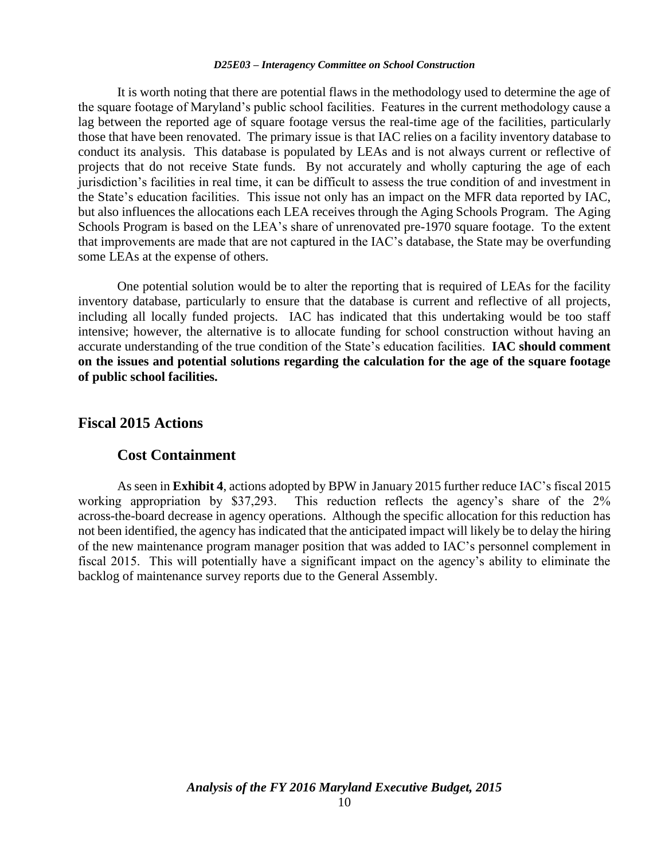It is worth noting that there are potential flaws in the methodology used to determine the age of the square footage of Maryland's public school facilities. Features in the current methodology cause a lag between the reported age of square footage versus the real-time age of the facilities, particularly those that have been renovated. The primary issue is that IAC relies on a facility inventory database to conduct its analysis. This database is populated by LEAs and is not always current or reflective of projects that do not receive State funds. By not accurately and wholly capturing the age of each jurisdiction's facilities in real time, it can be difficult to assess the true condition of and investment in the State's education facilities. This issue not only has an impact on the MFR data reported by IAC, but also influences the allocations each LEA receives through the Aging Schools Program. The Aging Schools Program is based on the LEA's share of unrenovated pre-1970 square footage. To the extent that improvements are made that are not captured in the IAC's database, the State may be overfunding some LEAs at the expense of others.

One potential solution would be to alter the reporting that is required of LEAs for the facility inventory database, particularly to ensure that the database is current and reflective of all projects, including all locally funded projects. IAC has indicated that this undertaking would be too staff intensive; however, the alternative is to allocate funding for school construction without having an accurate understanding of the true condition of the State's education facilities. **IAC should comment on the issues and potential solutions regarding the calculation for the age of the square footage of public school facilities.** 

#### **Fiscal 2015 Actions**

#### **Cost Containment**

As seen in **Exhibit 4**, actions adopted by BPW in January 2015 further reduce IAC's fiscal 2015 working appropriation by \$37,293. This reduction reflects the agency's share of the 2% across-the-board decrease in agency operations. Although the specific allocation for this reduction has not been identified, the agency has indicated that the anticipated impact will likely be to delay the hiring of the new maintenance program manager position that was added to IAC's personnel complement in fiscal 2015. This will potentially have a significant impact on the agency's ability to eliminate the backlog of maintenance survey reports due to the General Assembly.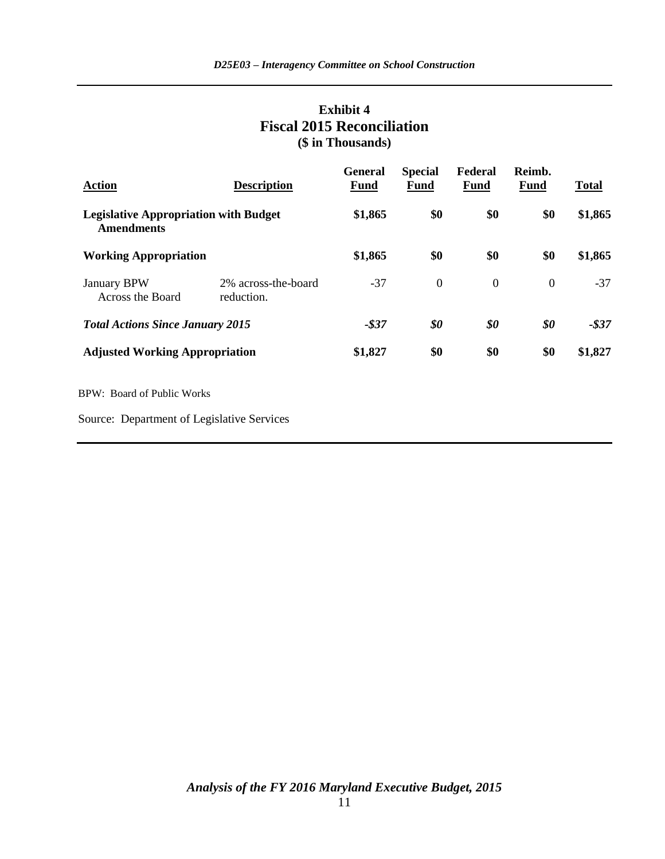## **Exhibit 4 Fiscal 2015 Reconciliation (\$ in Thousands)**

| <b>Action</b>                                                     | <b>Description</b>                | <b>General</b><br>Fund | <b>Special</b><br>Fund | Federal<br>Fund  | Reimb.<br>Fund | <b>Total</b> |
|-------------------------------------------------------------------|-----------------------------------|------------------------|------------------------|------------------|----------------|--------------|
| <b>Legislative Appropriation with Budget</b><br><b>Amendments</b> |                                   | \$1,865                | \$0                    | \$0              | \$0            | \$1,865      |
| <b>Working Appropriation</b>                                      |                                   | \$1,865                | \$0                    | \$0              | \$0            | \$1,865      |
| <b>January BPW</b><br>Across the Board                            | 2% across-the-board<br>reduction. | $-37$                  | $\boldsymbol{0}$       | $\boldsymbol{0}$ | $\overline{0}$ | $-37$        |
| <b>Total Actions Since January 2015</b>                           |                                   | $-$ \$37               | \$0                    | \$0              | \$0            | $-$ \$37     |
| <b>Adjusted Working Appropriation</b>                             |                                   | \$1,827                | \$0                    | \$0              | \$0            | \$1,827      |
| <b>BPW: Board of Public Works</b>                                 |                                   |                        |                        |                  |                |              |
| Source: Department of Legislative Services                        |                                   |                        |                        |                  |                |              |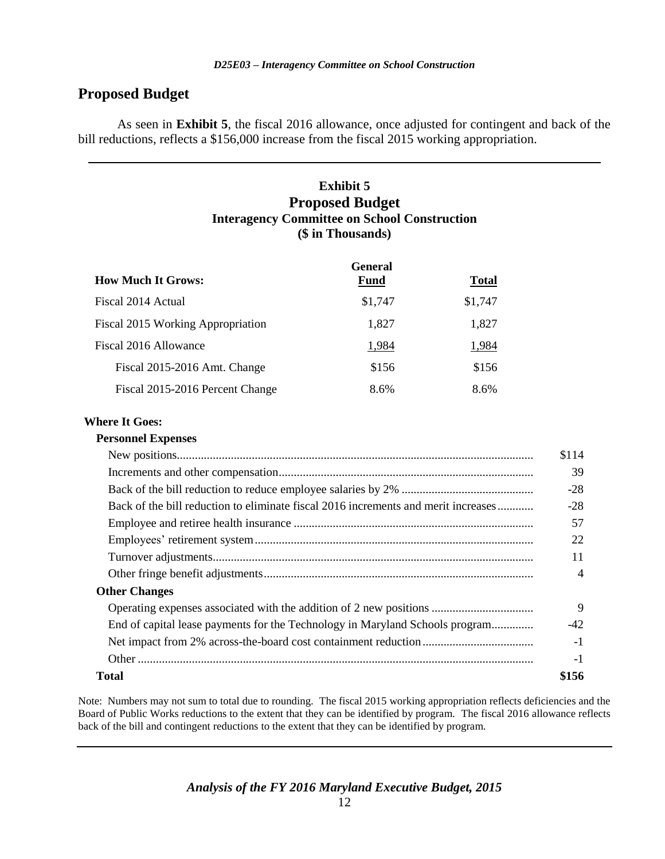## **Proposed Budget**

As seen in **Exhibit 5**, the fiscal 2016 allowance, once adjusted for contingent and back of the bill reductions, reflects a \$156,000 increase from the fiscal 2015 working appropriation.

### **Exhibit 5 Proposed Budget Interagency Committee on School Construction (\$ in Thousands)**

|                                   | <b>General</b> |              |
|-----------------------------------|----------------|--------------|
| <b>How Much It Grows:</b>         | <b>Fund</b>    | <b>Total</b> |
| Fiscal 2014 Actual                | \$1,747        | \$1,747      |
| Fiscal 2015 Working Appropriation | 1,827          | 1,827        |
| Fiscal 2016 Allowance             | 1,984          | 1,984        |
| Fiscal 2015-2016 Amt. Change      | \$156          | \$156        |
| Fiscal 2015-2016 Percent Change   | 8.6%           | 8.6%         |

#### **Where It Goes:**

#### **Personnel Expenses**

|                                                                                    | \$114 |
|------------------------------------------------------------------------------------|-------|
|                                                                                    | 39    |
|                                                                                    | $-28$ |
| Back of the bill reduction to eliminate fiscal 2016 increments and merit increases | $-28$ |
|                                                                                    | 57    |
|                                                                                    | 22    |
|                                                                                    | 11    |
|                                                                                    | 4     |
| <b>Other Changes</b>                                                               |       |
|                                                                                    | 9     |
| End of capital lease payments for the Technology in Maryland Schools program       | $-42$ |
|                                                                                    | $-1$  |
|                                                                                    | -1    |
| Total                                                                              | \$156 |
|                                                                                    |       |

Note: Numbers may not sum to total due to rounding. The fiscal 2015 working appropriation reflects deficiencies and the Board of Public Works reductions to the extent that they can be identified by program. The fiscal 2016 allowance reflects back of the bill and contingent reductions to the extent that they can be identified by program.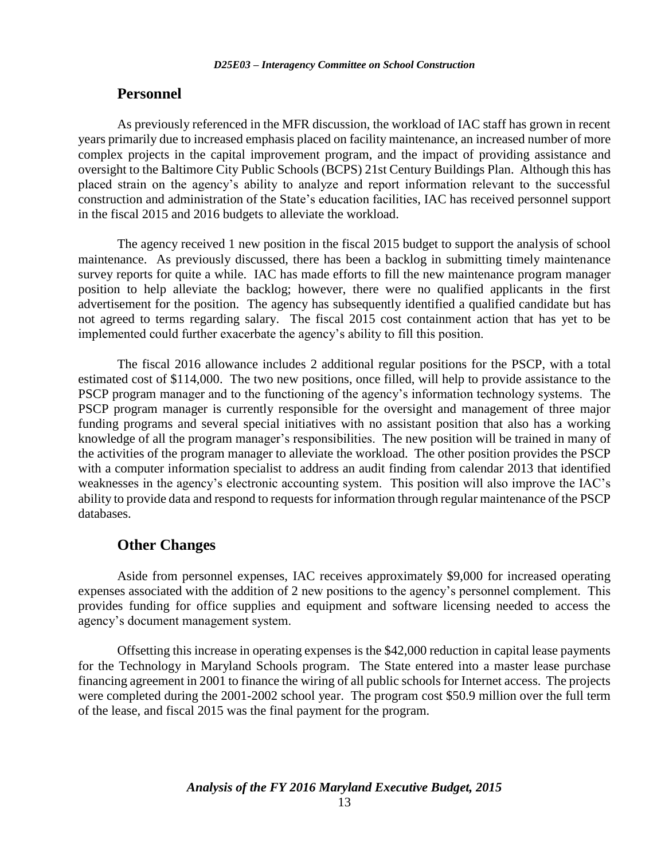### **Personnel**

As previously referenced in the MFR discussion, the workload of IAC staff has grown in recent years primarily due to increased emphasis placed on facility maintenance, an increased number of more complex projects in the capital improvement program, and the impact of providing assistance and oversight to the Baltimore City Public Schools (BCPS) 21st Century Buildings Plan. Although this has placed strain on the agency's ability to analyze and report information relevant to the successful construction and administration of the State's education facilities, IAC has received personnel support in the fiscal 2015 and 2016 budgets to alleviate the workload.

The agency received 1 new position in the fiscal 2015 budget to support the analysis of school maintenance. As previously discussed, there has been a backlog in submitting timely maintenance survey reports for quite a while. IAC has made efforts to fill the new maintenance program manager position to help alleviate the backlog; however, there were no qualified applicants in the first advertisement for the position. The agency has subsequently identified a qualified candidate but has not agreed to terms regarding salary. The fiscal 2015 cost containment action that has yet to be implemented could further exacerbate the agency's ability to fill this position.

The fiscal 2016 allowance includes 2 additional regular positions for the PSCP, with a total estimated cost of \$114,000. The two new positions, once filled, will help to provide assistance to the PSCP program manager and to the functioning of the agency's information technology systems. The PSCP program manager is currently responsible for the oversight and management of three major funding programs and several special initiatives with no assistant position that also has a working knowledge of all the program manager's responsibilities. The new position will be trained in many of the activities of the program manager to alleviate the workload. The other position provides the PSCP with a computer information specialist to address an audit finding from calendar 2013 that identified weaknesses in the agency's electronic accounting system. This position will also improve the IAC's ability to provide data and respond to requests for information through regular maintenance of the PSCP databases.

### **Other Changes**

Aside from personnel expenses, IAC receives approximately \$9,000 for increased operating expenses associated with the addition of 2 new positions to the agency's personnel complement. This provides funding for office supplies and equipment and software licensing needed to access the agency's document management system.

Offsetting this increase in operating expenses is the \$42,000 reduction in capital lease payments for the Technology in Maryland Schools program. The State entered into a master lease purchase financing agreement in 2001 to finance the wiring of all public schools for Internet access. The projects were completed during the 2001-2002 school year. The program cost \$50.9 million over the full term of the lease, and fiscal 2015 was the final payment for the program.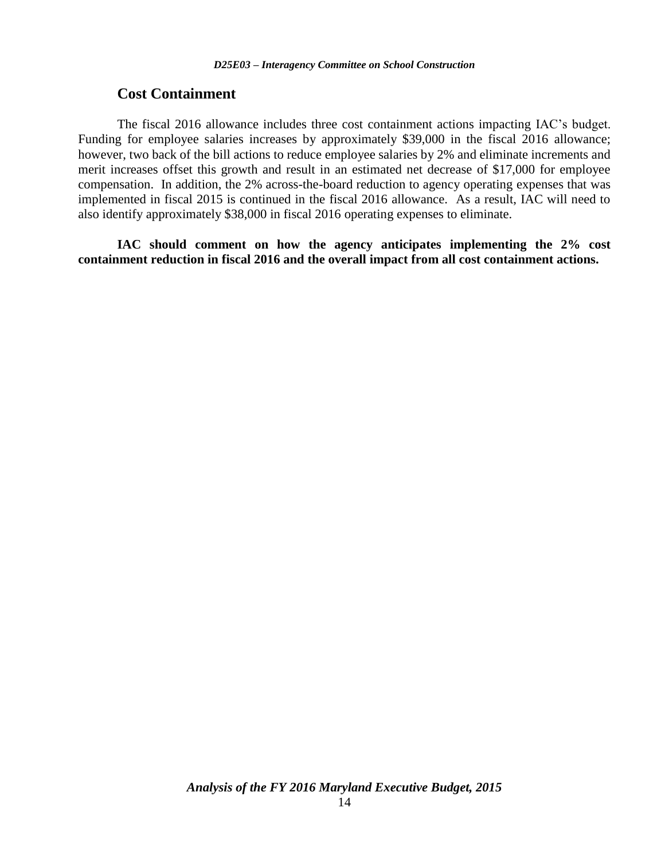#### **Cost Containment**

The fiscal 2016 allowance includes three cost containment actions impacting IAC's budget. Funding for employee salaries increases by approximately \$39,000 in the fiscal 2016 allowance; however, two back of the bill actions to reduce employee salaries by 2% and eliminate increments and merit increases offset this growth and result in an estimated net decrease of \$17,000 for employee compensation. In addition, the 2% across-the-board reduction to agency operating expenses that was implemented in fiscal 2015 is continued in the fiscal 2016 allowance. As a result, IAC will need to also identify approximately \$38,000 in fiscal 2016 operating expenses to eliminate.

**IAC should comment on how the agency anticipates implementing the 2% cost containment reduction in fiscal 2016 and the overall impact from all cost containment actions.**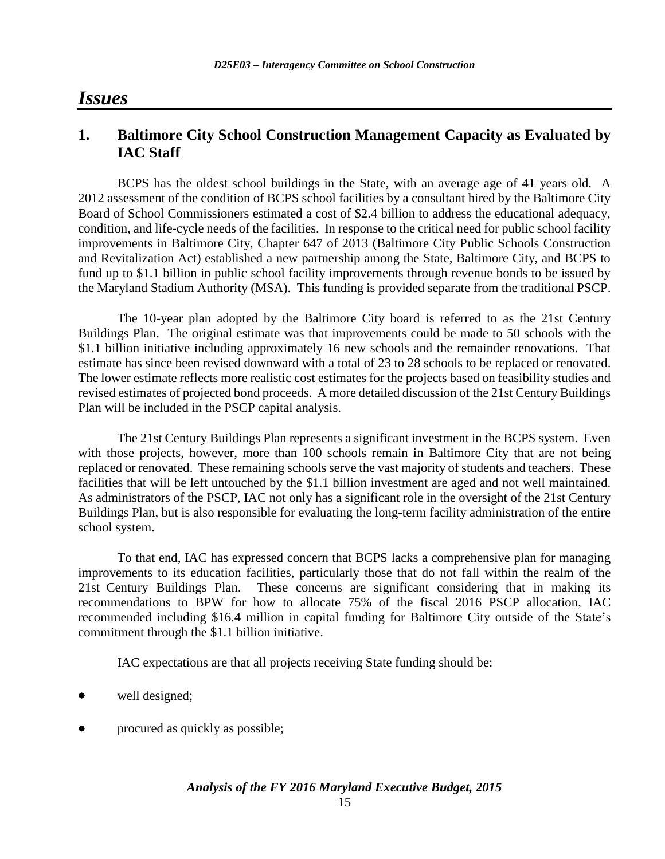## *Issues*

## **1. Baltimore City School Construction Management Capacity as Evaluated by IAC Staff**

BCPS has the oldest school buildings in the State, with an average age of 41 years old. A 2012 assessment of the condition of BCPS school facilities by a consultant hired by the Baltimore City Board of School Commissioners estimated a cost of \$2.4 billion to address the educational adequacy, condition, and life-cycle needs of the facilities. In response to the critical need for public school facility improvements in Baltimore City, Chapter 647 of 2013 (Baltimore City Public Schools Construction and Revitalization Act) established a new partnership among the State, Baltimore City, and BCPS to fund up to \$1.1 billion in public school facility improvements through revenue bonds to be issued by the Maryland Stadium Authority (MSA). This funding is provided separate from the traditional PSCP.

The 10-year plan adopted by the Baltimore City board is referred to as the 21st Century Buildings Plan. The original estimate was that improvements could be made to 50 schools with the \$1.1 billion initiative including approximately 16 new schools and the remainder renovations. That estimate has since been revised downward with a total of 23 to 28 schools to be replaced or renovated. The lower estimate reflects more realistic cost estimates for the projects based on feasibility studies and revised estimates of projected bond proceeds. A more detailed discussion of the 21st Century Buildings Plan will be included in the PSCP capital analysis.

The 21st Century Buildings Plan represents a significant investment in the BCPS system. Even with those projects, however, more than 100 schools remain in Baltimore City that are not being replaced or renovated. These remaining schools serve the vast majority of students and teachers. These facilities that will be left untouched by the \$1.1 billion investment are aged and not well maintained. As administrators of the PSCP, IAC not only has a significant role in the oversight of the 21st Century Buildings Plan, but is also responsible for evaluating the long-term facility administration of the entire school system.

To that end, IAC has expressed concern that BCPS lacks a comprehensive plan for managing improvements to its education facilities, particularly those that do not fall within the realm of the 21st Century Buildings Plan. These concerns are significant considering that in making its recommendations to BPW for how to allocate 75% of the fiscal 2016 PSCP allocation, IAC recommended including \$16.4 million in capital funding for Baltimore City outside of the State's commitment through the \$1.1 billion initiative.

IAC expectations are that all projects receiving State funding should be:

- well designed;
- procured as quickly as possible;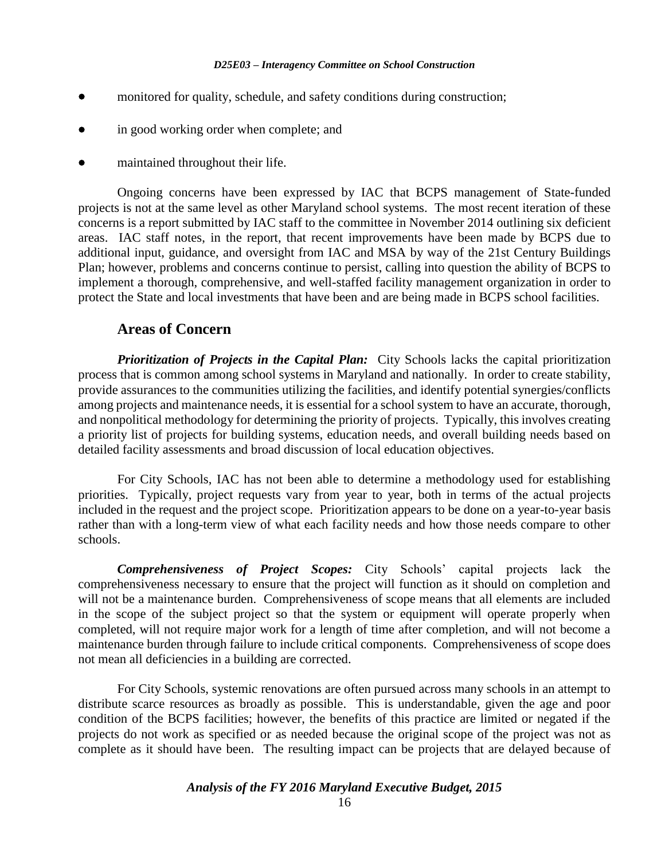- monitored for quality, schedule, and safety conditions during construction;
- in good working order when complete; and
- maintained throughout their life.

Ongoing concerns have been expressed by IAC that BCPS management of State-funded projects is not at the same level as other Maryland school systems. The most recent iteration of these concerns is a report submitted by IAC staff to the committee in November 2014 outlining six deficient areas. IAC staff notes, in the report, that recent improvements have been made by BCPS due to additional input, guidance, and oversight from IAC and MSA by way of the 21st Century Buildings Plan; however, problems and concerns continue to persist, calling into question the ability of BCPS to implement a thorough, comprehensive, and well-staffed facility management organization in order to protect the State and local investments that have been and are being made in BCPS school facilities.

#### **Areas of Concern**

*Prioritization of Projects in the Capital Plan:* City Schools lacks the capital prioritization process that is common among school systems in Maryland and nationally. In order to create stability, provide assurances to the communities utilizing the facilities, and identify potential synergies/conflicts among projects and maintenance needs, it is essential for a school system to have an accurate, thorough, and nonpolitical methodology for determining the priority of projects. Typically, this involves creating a priority list of projects for building systems, education needs, and overall building needs based on detailed facility assessments and broad discussion of local education objectives.

For City Schools, IAC has not been able to determine a methodology used for establishing priorities. Typically, project requests vary from year to year, both in terms of the actual projects included in the request and the project scope. Prioritization appears to be done on a year-to-year basis rather than with a long-term view of what each facility needs and how those needs compare to other schools.

*Comprehensiveness of Project Scopes:* City Schools' capital projects lack the comprehensiveness necessary to ensure that the project will function as it should on completion and will not be a maintenance burden. Comprehensiveness of scope means that all elements are included in the scope of the subject project so that the system or equipment will operate properly when completed, will not require major work for a length of time after completion, and will not become a maintenance burden through failure to include critical components. Comprehensiveness of scope does not mean all deficiencies in a building are corrected.

For City Schools, systemic renovations are often pursued across many schools in an attempt to distribute scarce resources as broadly as possible. This is understandable, given the age and poor condition of the BCPS facilities; however, the benefits of this practice are limited or negated if the projects do not work as specified or as needed because the original scope of the project was not as complete as it should have been. The resulting impact can be projects that are delayed because of

#### *Analysis of the FY 2016 Maryland Executive Budget, 2015*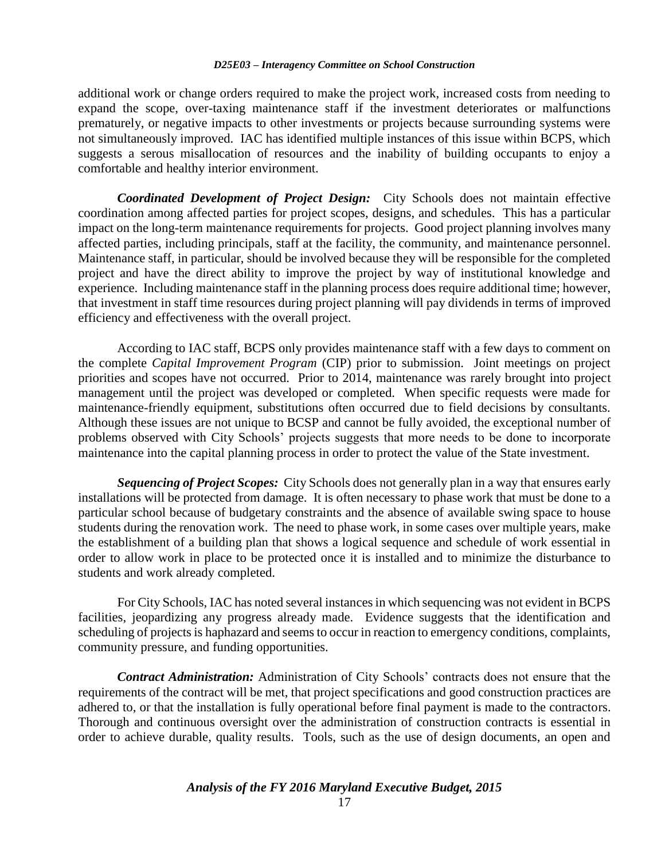additional work or change orders required to make the project work, increased costs from needing to expand the scope, over-taxing maintenance staff if the investment deteriorates or malfunctions prematurely, or negative impacts to other investments or projects because surrounding systems were not simultaneously improved. IAC has identified multiple instances of this issue within BCPS, which suggests a serous misallocation of resources and the inability of building occupants to enjoy a comfortable and healthy interior environment.

*Coordinated Development of Project Design:* City Schools does not maintain effective coordination among affected parties for project scopes, designs, and schedules. This has a particular impact on the long-term maintenance requirements for projects. Good project planning involves many affected parties, including principals, staff at the facility, the community, and maintenance personnel. Maintenance staff, in particular, should be involved because they will be responsible for the completed project and have the direct ability to improve the project by way of institutional knowledge and experience. Including maintenance staff in the planning process does require additional time; however, that investment in staff time resources during project planning will pay dividends in terms of improved efficiency and effectiveness with the overall project.

According to IAC staff, BCPS only provides maintenance staff with a few days to comment on the complete *Capital Improvement Program* (CIP) prior to submission. Joint meetings on project priorities and scopes have not occurred. Prior to 2014, maintenance was rarely brought into project management until the project was developed or completed. When specific requests were made for maintenance-friendly equipment, substitutions often occurred due to field decisions by consultants. Although these issues are not unique to BCSP and cannot be fully avoided, the exceptional number of problems observed with City Schools' projects suggests that more needs to be done to incorporate maintenance into the capital planning process in order to protect the value of the State investment.

*Sequencing of Project Scopes:* City Schools does not generally plan in a way that ensures early installations will be protected from damage. It is often necessary to phase work that must be done to a particular school because of budgetary constraints and the absence of available swing space to house students during the renovation work. The need to phase work, in some cases over multiple years, make the establishment of a building plan that shows a logical sequence and schedule of work essential in order to allow work in place to be protected once it is installed and to minimize the disturbance to students and work already completed.

For City Schools, IAC has noted several instances in which sequencing was not evident in BCPS facilities, jeopardizing any progress already made. Evidence suggests that the identification and scheduling of projects is haphazard and seems to occur in reaction to emergency conditions, complaints, community pressure, and funding opportunities.

*Contract Administration:* Administration of City Schools' contracts does not ensure that the requirements of the contract will be met, that project specifications and good construction practices are adhered to, or that the installation is fully operational before final payment is made to the contractors. Thorough and continuous oversight over the administration of construction contracts is essential in order to achieve durable, quality results. Tools, such as the use of design documents, an open and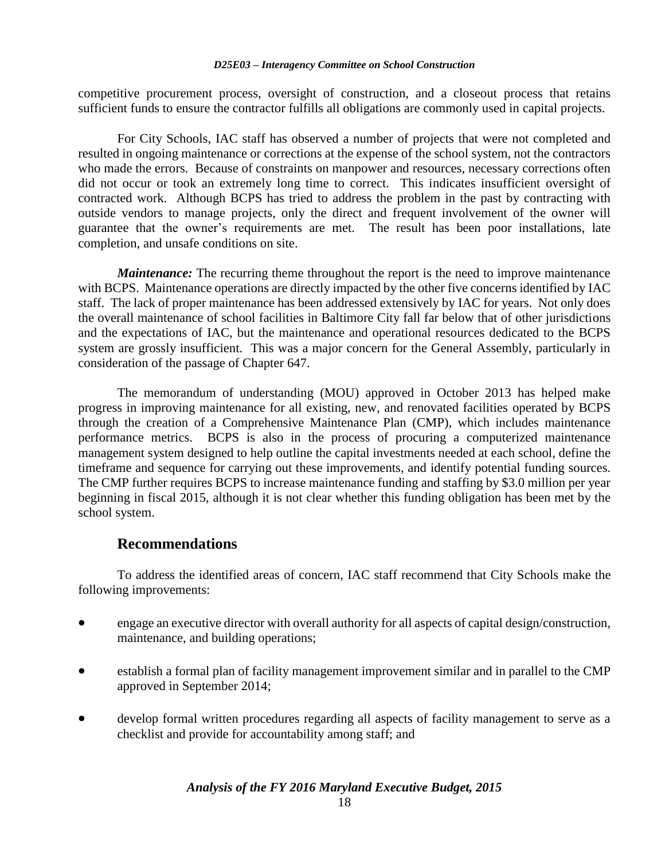competitive procurement process, oversight of construction, and a closeout process that retains sufficient funds to ensure the contractor fulfills all obligations are commonly used in capital projects.

For City Schools, IAC staff has observed a number of projects that were not completed and resulted in ongoing maintenance or corrections at the expense of the school system, not the contractors who made the errors. Because of constraints on manpower and resources, necessary corrections often did not occur or took an extremely long time to correct. This indicates insufficient oversight of contracted work. Although BCPS has tried to address the problem in the past by contracting with outside vendors to manage projects, only the direct and frequent involvement of the owner will guarantee that the owner's requirements are met. The result has been poor installations, late completion, and unsafe conditions on site.

*Maintenance:* The recurring theme throughout the report is the need to improve maintenance with BCPS. Maintenance operations are directly impacted by the other five concerns identified by IAC staff. The lack of proper maintenance has been addressed extensively by IAC for years. Not only does the overall maintenance of school facilities in Baltimore City fall far below that of other jurisdictions and the expectations of IAC, but the maintenance and operational resources dedicated to the BCPS system are grossly insufficient. This was a major concern for the General Assembly, particularly in consideration of the passage of Chapter 647.

The memorandum of understanding (MOU) approved in October 2013 has helped make progress in improving maintenance for all existing, new, and renovated facilities operated by BCPS through the creation of a Comprehensive Maintenance Plan (CMP), which includes maintenance performance metrics. BCPS is also in the process of procuring a computerized maintenance management system designed to help outline the capital investments needed at each school, define the timeframe and sequence for carrying out these improvements, and identify potential funding sources. The CMP further requires BCPS to increase maintenance funding and staffing by \$3.0 million per year beginning in fiscal 2015, although it is not clear whether this funding obligation has been met by the school system.

### **Recommendations**

To address the identified areas of concern, IAC staff recommend that City Schools make the following improvements:

- engage an executive director with overall authority for all aspects of capital design/construction, maintenance, and building operations;
- establish a formal plan of facility management improvement similar and in parallel to the CMP approved in September 2014;
- develop formal written procedures regarding all aspects of facility management to serve as a checklist and provide for accountability among staff; and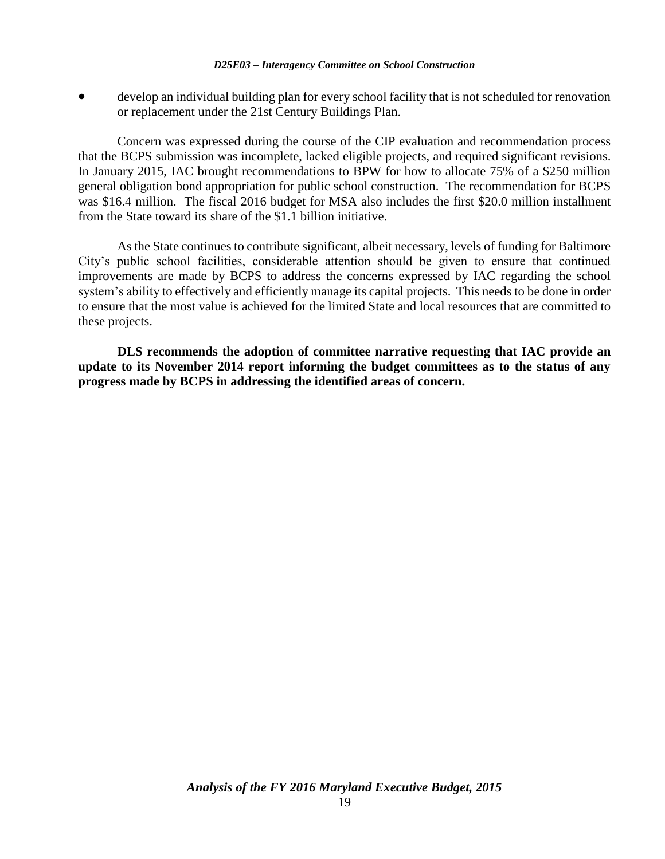develop an individual building plan for every school facility that is not scheduled for renovation or replacement under the 21st Century Buildings Plan.

Concern was expressed during the course of the CIP evaluation and recommendation process that the BCPS submission was incomplete, lacked eligible projects, and required significant revisions. In January 2015, IAC brought recommendations to BPW for how to allocate 75% of a \$250 million general obligation bond appropriation for public school construction. The recommendation for BCPS was \$16.4 million. The fiscal 2016 budget for MSA also includes the first \$20.0 million installment from the State toward its share of the \$1.1 billion initiative.

As the State continues to contribute significant, albeit necessary, levels of funding for Baltimore City's public school facilities, considerable attention should be given to ensure that continued improvements are made by BCPS to address the concerns expressed by IAC regarding the school system's ability to effectively and efficiently manage its capital projects. This needs to be done in order to ensure that the most value is achieved for the limited State and local resources that are committed to these projects.

**DLS recommends the adoption of committee narrative requesting that IAC provide an update to its November 2014 report informing the budget committees as to the status of any progress made by BCPS in addressing the identified areas of concern.**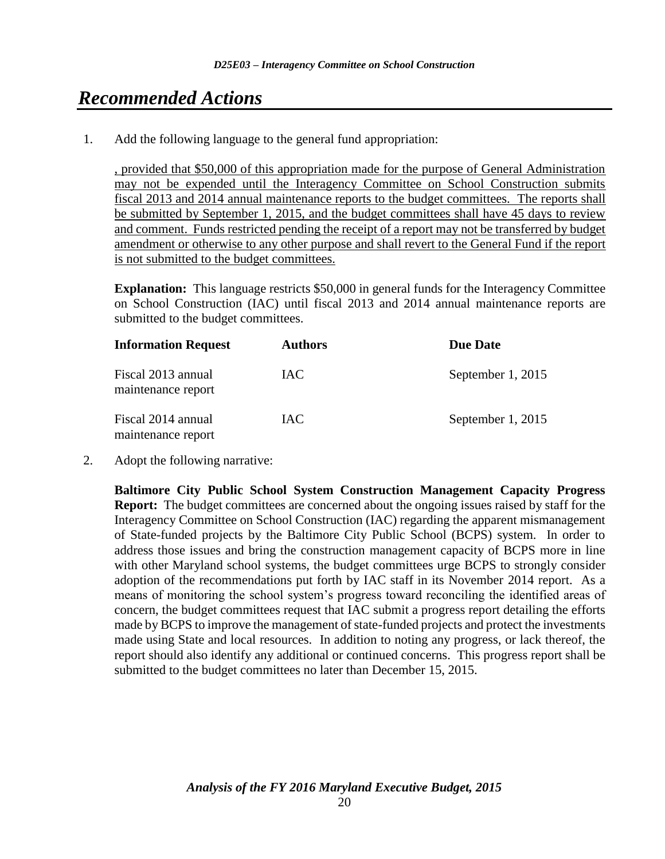# *Recommended Actions*

1. Add the following language to the general fund appropriation:

, provided that \$50,000 of this appropriation made for the purpose of General Administration may not be expended until the Interagency Committee on School Construction submits fiscal 2013 and 2014 annual maintenance reports to the budget committees. The reports shall be submitted by September 1, 2015, and the budget committees shall have 45 days to review and comment. Funds restricted pending the receipt of a report may not be transferred by budget amendment or otherwise to any other purpose and shall revert to the General Fund if the report is not submitted to the budget committees.

**Explanation:** This language restricts \$50,000 in general funds for the Interagency Committee on School Construction (IAC) until fiscal 2013 and 2014 annual maintenance reports are submitted to the budget committees.

| <b>Information Request</b>               | <b>Authors</b> | <b>Due Date</b>   |
|------------------------------------------|----------------|-------------------|
| Fiscal 2013 annual<br>maintenance report | IAC.           | September 1, 2015 |
| Fiscal 2014 annual<br>maintenance report | IAC.           | September 1, 2015 |

2. Adopt the following narrative:

**Baltimore City Public School System Construction Management Capacity Progress Report:** The budget committees are concerned about the ongoing issues raised by staff for the Interagency Committee on School Construction (IAC) regarding the apparent mismanagement of State-funded projects by the Baltimore City Public School (BCPS) system. In order to address those issues and bring the construction management capacity of BCPS more in line with other Maryland school systems, the budget committees urge BCPS to strongly consider adoption of the recommendations put forth by IAC staff in its November 2014 report. As a means of monitoring the school system's progress toward reconciling the identified areas of concern, the budget committees request that IAC submit a progress report detailing the efforts made by BCPS to improve the management of state-funded projects and protect the investments made using State and local resources. In addition to noting any progress, or lack thereof, the report should also identify any additional or continued concerns. This progress report shall be submitted to the budget committees no later than December 15, 2015.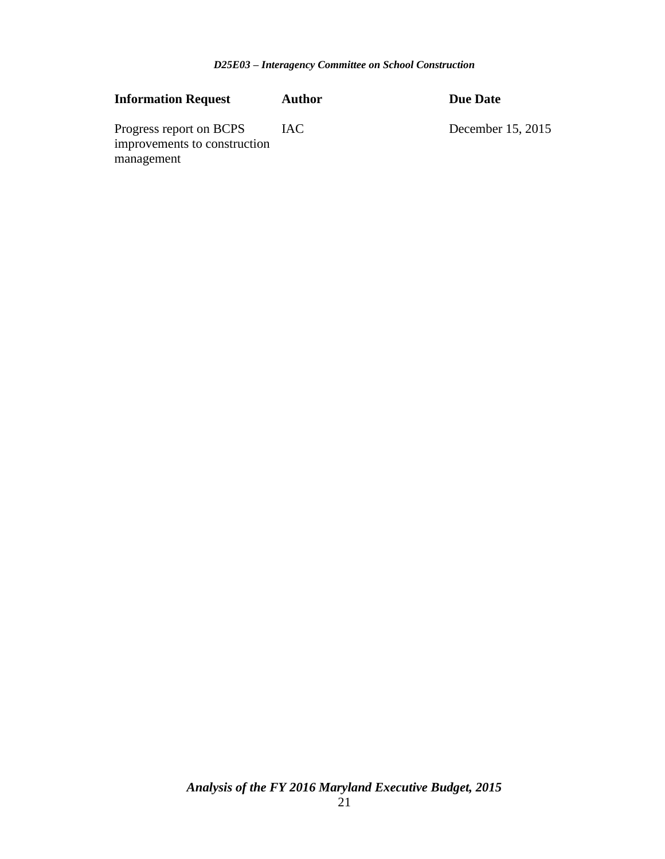| <b>Information Request</b>                                            | <b>Author</b> | Due Date          |
|-----------------------------------------------------------------------|---------------|-------------------|
| Progress report on BCPS<br>improvements to construction<br>management | IAC.          | December 15, 2015 |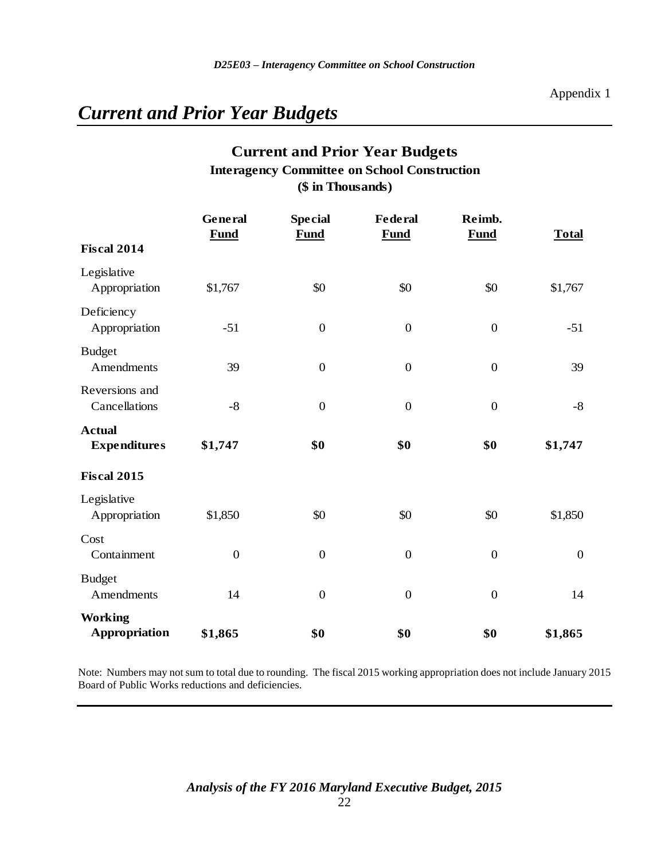# *Current and Prior Year Budgets*

## **Current and Prior Year Budgets (\$ in Thousands) Interagency Committee on School Construction**

|                                      | General<br><b>Fund</b> | <b>Special</b><br><b>Fund</b> | <b>Federal</b><br><b>Fund</b> | Reimb.<br><b>Fund</b> | <b>Total</b>     |
|--------------------------------------|------------------------|-------------------------------|-------------------------------|-----------------------|------------------|
| <b>Fiscal 2014</b>                   |                        |                               |                               |                       |                  |
| Legislative<br>Appropriation         | \$1,767                | \$0                           | \$0                           | \$0                   | \$1,767          |
| Deficiency<br>Appropriation          | $-51$                  | $\boldsymbol{0}$              | $\boldsymbol{0}$              | $\boldsymbol{0}$      | $-51$            |
| <b>Budget</b><br>Amendments          | 39                     | $\boldsymbol{0}$              | $\boldsymbol{0}$              | $\boldsymbol{0}$      | 39               |
| Reversions and<br>Cancellations      | $-8$                   | $\boldsymbol{0}$              | $\boldsymbol{0}$              | $\boldsymbol{0}$      | $-8$             |
| <b>Actual</b><br><b>Expenditures</b> | \$1,747                | \$0                           | \$0                           | \$0                   | \$1,747          |
| <b>Fiscal 2015</b>                   |                        |                               |                               |                       |                  |
| Legislative<br>Appropriation         | \$1,850                | \$0                           | \$0                           | \$0                   | \$1,850          |
| Cost<br>Containment                  | $\boldsymbol{0}$       | $\boldsymbol{0}$              | $\boldsymbol{0}$              | $\boldsymbol{0}$      | $\boldsymbol{0}$ |
| <b>Budget</b><br>Amendments          | 14                     | $\overline{0}$                | $\mathbf{0}$                  | $\overline{0}$        | 14               |
| <b>Working</b><br>Appropriation      | \$1,865                | \$0                           | \$0                           | \$0                   | \$1,865          |

Note: Numbers may not sum to total due to rounding. The fiscal 2015 working appropriation does not include January 2015 Board of Public Works reductions and deficiencies.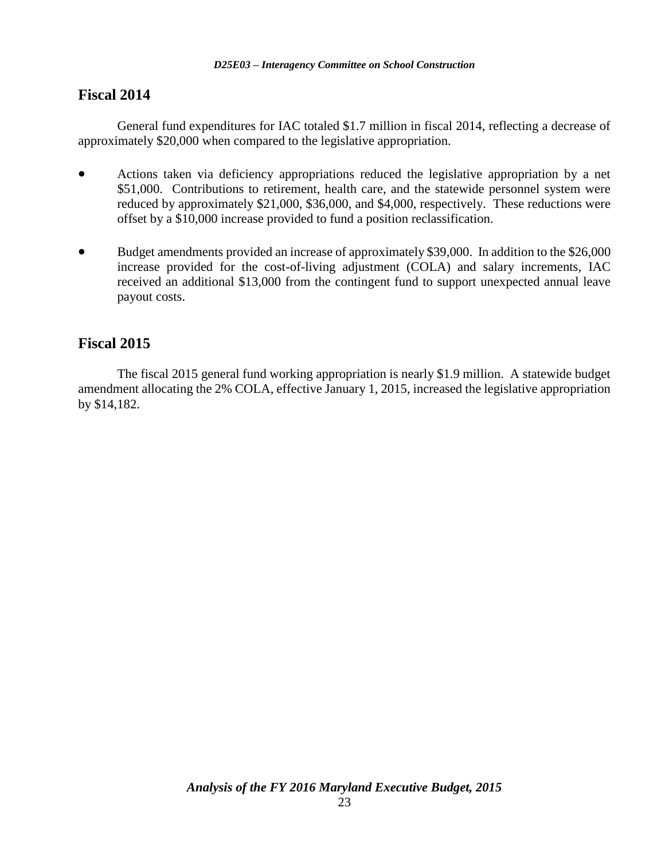## **Fiscal 2014**

General fund expenditures for IAC totaled \$1.7 million in fiscal 2014, reflecting a decrease of approximately \$20,000 when compared to the legislative appropriation.

- Actions taken via deficiency appropriations reduced the legislative appropriation by a net \$51,000. Contributions to retirement, health care, and the statewide personnel system were reduced by approximately \$21,000, \$36,000, and \$4,000, respectively. These reductions were offset by a \$10,000 increase provided to fund a position reclassification.
- Budget amendments provided an increase of approximately \$39,000. In addition to the \$26,000 increase provided for the cost-of-living adjustment (COLA) and salary increments, IAC received an additional \$13,000 from the contingent fund to support unexpected annual leave payout costs.

## **Fiscal 2015**

The fiscal 2015 general fund working appropriation is nearly \$1.9 million. A statewide budget amendment allocating the 2% COLA, effective January 1, 2015, increased the legislative appropriation by \$14,182.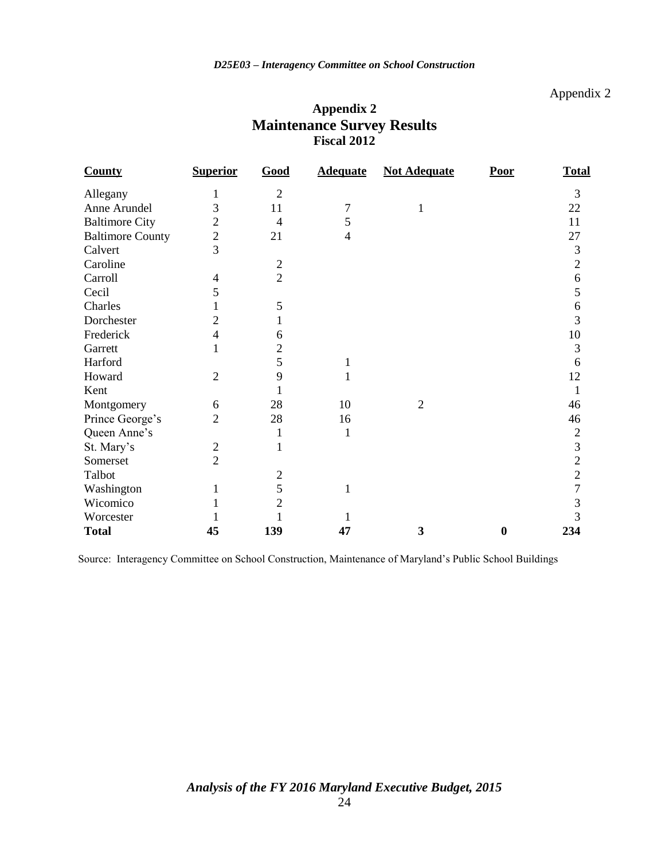### Appendix 2

| Appendix 2                        |  |
|-----------------------------------|--|
| <b>Maintenance Survey Results</b> |  |
| <b>Fiscal 2012</b>                |  |

| <b>County</b>           | <b>Superior</b> | Good           | <b>Adequate</b> | <b>Not Adequate</b> | Poor             | <b>Total</b>   |
|-------------------------|-----------------|----------------|-----------------|---------------------|------------------|----------------|
| Allegany                |                 | $\overline{2}$ |                 |                     |                  | 3              |
| Anne Arundel            | 3               | 11             | 7               |                     |                  | 22             |
| <b>Baltimore City</b>   | $\overline{2}$  | $\overline{4}$ | 5               |                     |                  | 11             |
| <b>Baltimore County</b> | $\overline{c}$  | 21             | $\overline{4}$  |                     |                  | 27             |
| Calvert                 | 3               |                |                 |                     |                  | 3              |
| Caroline                |                 | $\overline{2}$ |                 |                     |                  | $\overline{2}$ |
| Carroll                 | 4               | $\overline{2}$ |                 |                     |                  | 6              |
| Cecil                   | 5               |                |                 |                     |                  | 5              |
| Charles                 |                 | 5              |                 |                     |                  | 6              |
| Dorchester              | 2               | 1              |                 |                     |                  | 3              |
| Frederick               | $\overline{4}$  | 6              |                 |                     |                  | 10             |
| Garrett                 |                 | $\overline{2}$ |                 |                     |                  | 3              |
| Harford                 |                 | 5              | 1               |                     |                  | 6              |
| Howard                  | $\overline{2}$  | 9              |                 |                     |                  | 12             |
| Kent                    |                 |                |                 |                     |                  | 1              |
| Montgomery              | 6               | 28             | 10              | $\overline{2}$      |                  | 46             |
| Prince George's         | $\overline{2}$  | 28             | 16              |                     |                  | 46             |
| Queen Anne's            |                 | 1              | 1               |                     |                  | $\sqrt{2}$     |
| St. Mary's              | $\overline{2}$  |                |                 |                     |                  | 3              |
| Somerset                | $\overline{2}$  |                |                 |                     |                  | $\overline{2}$ |
| Talbot                  |                 | $\mathfrak{2}$ |                 |                     |                  | $\overline{c}$ |
| Washington              |                 | 5              | 1               |                     |                  | 7              |
| Wicomico                |                 | $\overline{2}$ |                 |                     |                  | 3              |
| Worcester               |                 |                |                 |                     |                  | 3              |
| <b>Total</b>            | 45              | 139            | 47              | 3                   | $\boldsymbol{0}$ | 234            |

Source: Interagency Committee on School Construction, Maintenance of Maryland's Public School Buildings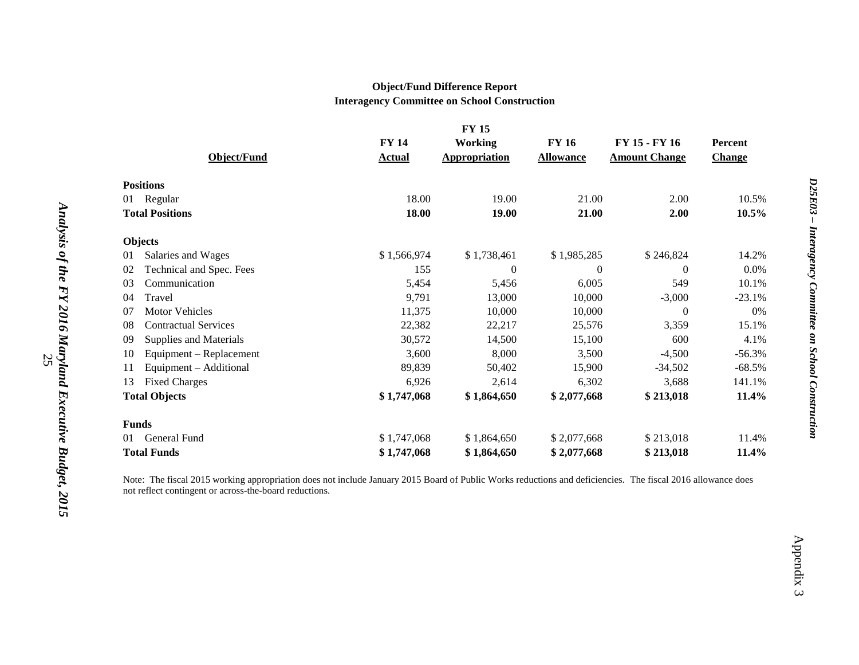#### **Object/Fund Difference Report Interagency Committee on School Construction**

|    |                             |               | <b>FY15</b>          |                  |                      |                |
|----|-----------------------------|---------------|----------------------|------------------|----------------------|----------------|
|    |                             | <b>FY 14</b>  | <b>Working</b>       | <b>FY 16</b>     | FY 15 - FY 16        | <b>Percent</b> |
|    | <b>Object/Fund</b>          | <b>Actual</b> | <b>Appropriation</b> | <b>Allowance</b> | <b>Amount Change</b> | <b>Change</b>  |
|    | <b>Positions</b>            |               |                      |                  |                      |                |
| 01 | Regular                     | 18.00         | 19.00                | 21.00            | 2.00                 | 10.5%          |
|    | <b>Total Positions</b>      | 18.00         | 19.00                | 21.00            | 2.00                 | 10.5%          |
|    | <b>Objects</b>              |               |                      |                  |                      |                |
| 01 | Salaries and Wages          | \$1,566,974   | \$1,738,461          | \$1,985,285      | \$246,824            | 14.2%          |
| 02 | Technical and Spec. Fees    | 155           | $\theta$             | $\Omega$         | $\Omega$             | 0.0%           |
| 03 | Communication               | 5,454         | 5,456                | 6,005            | 549                  | 10.1%          |
| 04 | Travel                      | 9,791         | 13,000               | 10,000           | $-3,000$             | $-23.1%$       |
| 07 | <b>Motor Vehicles</b>       | 11,375        | 10,000               | 10,000           | $\mathbf{0}$         | 0%             |
| 08 | <b>Contractual Services</b> | 22,382        | 22,217               | 25,576           | 3,359                | 15.1%          |
| 09 | Supplies and Materials      | 30,572        | 14,500               | 15,100           | 600                  | 4.1%           |
| 10 | Equipment – Replacement     | 3,600         | 8,000                | 3,500            | $-4,500$             | $-56.3%$       |
| 11 | Equipment - Additional      | 89,839        | 50,402               | 15,900           | $-34,502$            | $-68.5%$       |
| 13 | <b>Fixed Charges</b>        | 6,926         | 2,614                | 6,302            | 3,688                | 141.1%         |
|    | <b>Total Objects</b>        | \$1,747,068   | \$1,864,650          | \$2,077,668      | \$213,018            | 11.4%          |
|    | <b>Funds</b>                |               |                      |                  |                      |                |
| 01 | General Fund                | \$1,747,068   | \$1,864,650          | \$2,077,668      | \$213,018            | 11.4%          |
|    | <b>Total Funds</b>          | \$1,747,068   | \$1,864,650          | \$2,077,668      | \$213,018            | 11.4%          |

Note: The fiscal 2015 working appropriation does not include January 2015 Board of Public Works reductions and deficiencies. The fiscal 2016 allowance does not reflect contingent or across-the-board reductions.

Appendix 3

Appendix 3